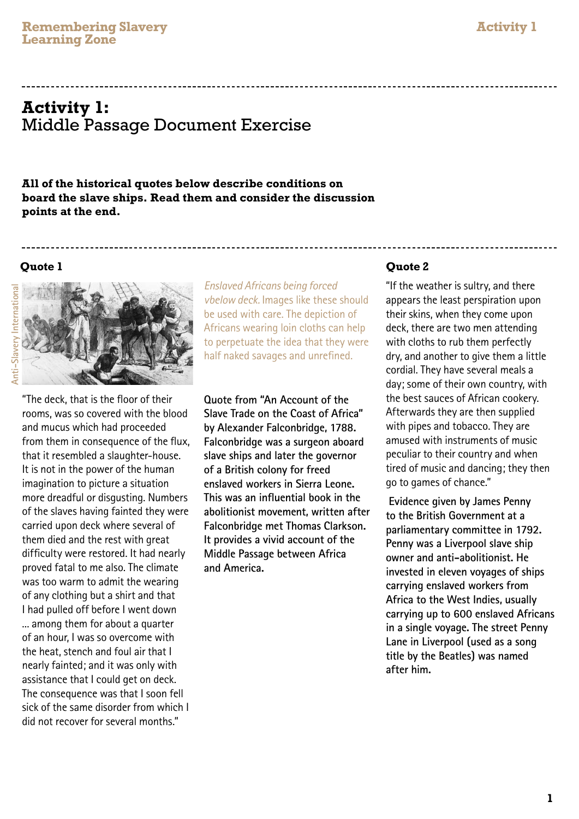# **Activity 1:** Middle Passage Document Exercise

**All of the historical quotes below describe conditions on board the slave ships. Read them and consider the discussion points at the end.**

#### **Quote 1**



"The deck, that is the floor of their rooms, was so covered with the blood and mucus which had proceeded from them in consequence of the flux, that it resembled a slaughter-house. It is not in the power of the human imagination to picture a situation more dreadful or disgusting. Numbers of the slaves having fainted they were carried upon deck where several of them died and the rest with great difficulty were restored. It had nearly proved fatal to me also. The climate was too warm to admit the wearing of any clothing but a shirt and that I had pulled off before I went down ... among them for about a quarter of an hour, I was so overcome with the heat, stench and foul air that I nearly fainted; and it was only with assistance that I could get on deck. The consequence was that I soon fell sick of the same disorder from which I did not recover for several months."

*Enslaved Africans being forced vbelow deck.* Images like these should be used with care. The depiction of Africans wearing loin cloths can help to perpetuate the idea that they were half naked savages and unrefined.

**Quote from "An Account of the Slave Trade on the Coast of Africa" by Alexander Falconbridge, 1788. Falconbridge was a surgeon aboard slave ships and later the governor of a British colony for freed enslaved workers in Sierra Leone. This was an influential book in the abolitionist movement, written after Falconbridge met Thomas Clarkson. It provides a vivid account of the Middle Passage between Africa and America.**

## **Quote 2**

"If the weather is sultry, and there appears the least perspiration upon their skins, when they come upon deck, there are two men attending with cloths to rub them perfectly dry, and another to give them a little cordial. They have several meals a day; some of their own country, with the best sauces of African cookery. Afterwards they are then supplied with pipes and tobacco. They are amused with instruments of music peculiar to their country and when tired of music and dancing; they then go to games of chance."

 **Evidence given by James Penny to the British Government at a parliamentary committee in 1792. Penny was a Liverpool slave ship owner and anti-abolitionist. He invested in eleven voyages of ships carrying enslaved workers from Africa to the West Indies, usually carrying up to 600 enslaved Africans in a single voyage. The street Penny Lane in Liverpool (used as a song title by the Beatles) was named after him.**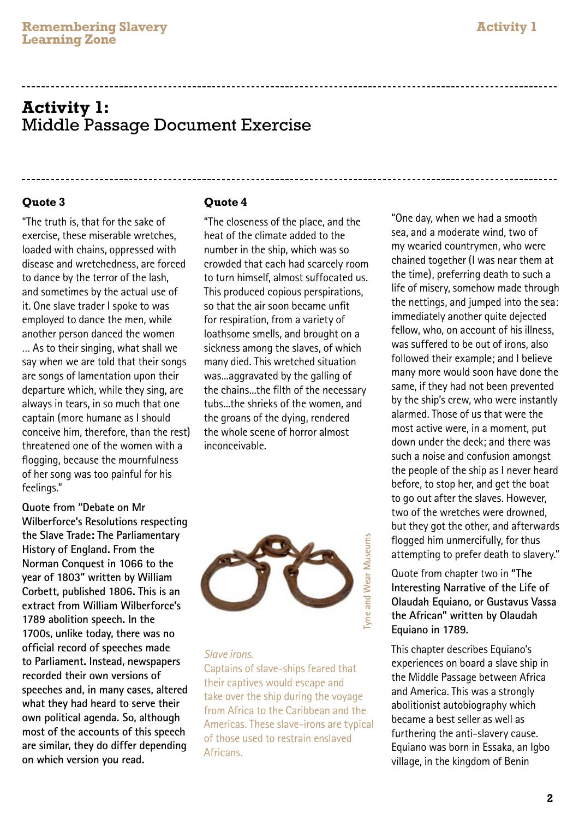## **Activity 1:** Middle Passage Document Exercise

## **Quote 3**

"The truth is, that for the sake of exercise, these miserable wretches, loaded with chains, oppressed with disease and wretchedness, are forced to dance by the terror of the lash, and sometimes by the actual use of it. One slave trader I spoke to was employed to dance the men, while another person danced the women … As to their singing, what shall we say when we are told that their songs are songs of lamentation upon their departure which, while they sing, are always in tears, in so much that one captain (more humane as I should conceive him, therefore, than the rest) threatened one of the women with a flogging, because the mournfulness of her song was too painful for his feelings."

**Quote from "Debate on Mr Wilberforce's Resolutions respecting the Slave Trade: The Parliamentary History of England. From the Norman Conquest in 1066 to the year of 1803" written by William Corbett, published 1806. This is an extract from William Wilberforce's 1789 abolition speech. In the 1700s, unlike today, there was no official record of speeches made to Parliament. Instead, newspapers recorded their own versions of speeches and, in many cases, altered what they had heard to serve their own political agenda. So, although most of the accounts of this speech are similar, they do differ depending on which version you read.**

#### **Quote 4**

"The closeness of the place, and the heat of the climate added to the number in the ship, which was so crowded that each had scarcely room to turn himself, almost suffocated us. This produced copious perspirations, so that the air soon became unfit for respiration, from a variety of loathsome smells, and brought on a sickness among the slaves, of which many died. This wretched situation was...aggravated by the galling of the chains...the filth of the necessary tubs...the shrieks of the women, and the groans of the dying, rendered the whole scene of horror almost inconceivable.



#### *Slave irons.*

Captains of slave-ships feared that their captives would escape and take over the ship during the voyage from Africa to the Caribbean and the Americas. These slave-irons are typical of those used to restrain enslaved Africans.

"One day, when we had a smooth sea, and a moderate wind, two of my wearied countrymen, who were chained together (I was near them at the time), preferring death to such a life of misery, somehow made through the nettings, and jumped into the sea: immediately another quite dejected fellow, who, on account of his illness, was suffered to be out of irons, also followed their example; and I believe many more would soon have done the same, if they had not been prevented by the ship's crew, who were instantly alarmed. Those of us that were the most active were, in a moment, put down under the deck; and there was such a noise and confusion amongst the people of the ship as I never heard before, to stop her, and get the boat to go out after the slaves. However, two of the wretches were drowned, but they got the other, and afterwards flogged him unmercifully, for thus attempting to prefer death to slavery."

## Quote from chapter two in **"The Interesting Narrative of the Life of Olaudah Equiano, or Gustavus Vassa the African" written by Olaudah Equiano in 1789.**

This chapter describes Equiano's experiences on board a slave ship in the Middle Passage between Africa and America. This was a strongly abolitionist autobiography which became a best seller as well as furthering the anti-slavery cause. Equiano was born in Essaka, an Igbo village, in the kingdom of Benin